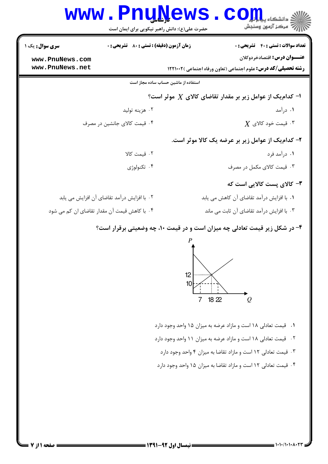|                                              | www.PnuNews<br>حضرت علی(ع): دانش راهبر نیکویی برای ایمان است           | الله دانشگاه پیام در استفاده<br>الله عرکز آزمهن وسنجش                      |  |  |  |
|----------------------------------------------|------------------------------------------------------------------------|----------------------------------------------------------------------------|--|--|--|
| <b>سری سوال :</b> یک ۱                       | <b>زمان آزمون (دقیقه) : تستی : 80 ٪ تشریحی : 0</b>                     | <b>تعداد سوالات : تستی : 40 ٪ تشریحی : 0</b>                               |  |  |  |
| www.PnuNews.com                              |                                                                        | <b>عنـــوان درس:</b> اقتصادخردوكلان                                        |  |  |  |
| www.PnuNews.net                              | <b>رشته تحصیلی/کد درس:</b> علوم اجتماعی (تعاون ورفاه اجتماعی )12210 12 |                                                                            |  |  |  |
|                                              | استفاده از ماشین حساب ساده مجاز است                                    |                                                                            |  |  |  |
|                                              |                                                                        | $\cdot$ ا- کدام یک از عوامل زیر بر مقدار تقاضای کالای $X$ موثر است $\cdot$ |  |  |  |
|                                              | ۰۲ هزينه توليد                                                         | ۰۱ درآمد                                                                   |  |  |  |
|                                              | ۰۴ قیمت کالای جانشین در مصرف                                           | $X$ قیمت خود کالای $^\mathsf{r}$                                           |  |  |  |
|                                              |                                                                        | ۲- کدام یک از عوامل زیر بر عرضه یک کالا موثر است.                          |  |  |  |
|                                              | ٢. قيمت كالا                                                           | ۰۱ درآمد فرد                                                               |  |  |  |
|                                              | ۰۴ تکنولوژی                                                            | ۰۳ قیمت کالای مکمل در مصرف                                                 |  |  |  |
|                                              |                                                                        | ۳- کالای پست کالایی است که                                                 |  |  |  |
|                                              | ۲. با افزایش درآمد تقاضای آن افزایش می یابد                            | ٠١. با افزايش درآمد تقاضاي آن كاهش مي يابد                                 |  |  |  |
| ۰۴ با کاهش قیمت آن مقدار تقاضای ان کم می شود |                                                                        | ۰۳ با افزایش درآمد تقاضای آن ثابت می ماند                                  |  |  |  |
|                                              |                                                                        | ۴- در شکل زیر قیمت تعادلی چه میزان است و در قیمت ۱۰، چه وضعیتی برقرار است؟ |  |  |  |

در شکل زیر قیمت تعادلی چه میزان است و در قیمت ۱۰، چه وضعیتی برقرار است؟ ۴ -



۰۱ قیمت تعادلی ۱۸ است و مازاد عرضه به میزان ۱۵ واحد وجود دارد

۰۲ قیمت تعادلی ۱۸ است و مازاد عرضه به میزان ۱۱ واحد وجود دارد

۰۳ قیمت تعادلی ۱۲ است و مازاد تقاضا به میزان ۴ واحد وجود دارد

۰۴ قیمت تعادلی ۱۲ است و مازاد تقاضا به میزان ۱۵ واحد وجود دارد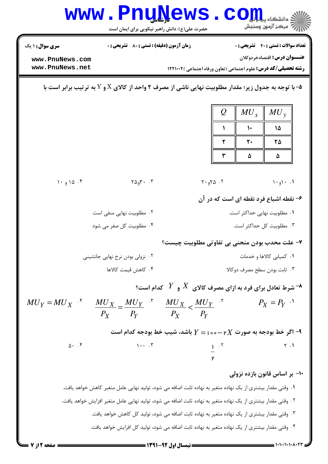| <b>WWW</b>                                                                                                                                                                                                   | <b>Jada Ja</b><br>حضرت علی(ع): دانش راهبر نیکویی برای ایمان است                                               |                                                                        |               | د دانشگاه پی <mark>اج</mark> تو <mark>ر</mark><br>7  مرڪز آزمون وسنڊش |  |  |
|--------------------------------------------------------------------------------------------------------------------------------------------------------------------------------------------------------------|---------------------------------------------------------------------------------------------------------------|------------------------------------------------------------------------|---------------|-----------------------------------------------------------------------|--|--|
| <b>سری سوال :</b> ۱ یک                                                                                                                                                                                       | <b>زمان آزمون (دقیقه) : تستی : 80 ٪ تشریحی : 0</b>                                                            |                                                                        |               | <b>تعداد سوالات : تستي : 40 قشريحي : 0</b>                            |  |  |
| www.PnuNews.com<br>www.PnuNews.net                                                                                                                                                                           |                                                                                                               | <b>رشته تحصیلی/کد درس:</b> علوم اجتماعی (تعاون ورفاه اجتماعی )122101 1 |               | <b>عنـــوان درس:</b> اقتصادخردوكلان                                   |  |  |
|                                                                                                                                                                                                              |                                                                                                               |                                                                        |               |                                                                       |  |  |
| ه-با توجه به جدول زیر؛ مقدار مطلوبیت نهایی ناشی از مصرف ۲ واحد از کالای X و Y به ترتیب برابر است با $\sim$                                                                                                   |                                                                                                               |                                                                        |               |                                                                       |  |  |
|                                                                                                                                                                                                              |                                                                                                               | $\mathcal{Q}$                                                          | $MU_x$        | $MU_{y}$                                                              |  |  |
|                                                                                                                                                                                                              |                                                                                                               |                                                                        | $\mathcal{L}$ | 15                                                                    |  |  |
|                                                                                                                                                                                                              |                                                                                                               | ٢                                                                      | ٢٠            | ۲۵                                                                    |  |  |
|                                                                                                                                                                                                              |                                                                                                               | ٣                                                                      | ۵             | ۵                                                                     |  |  |
|                                                                                                                                                                                                              |                                                                                                               |                                                                        |               |                                                                       |  |  |
| 1.910.5                                                                                                                                                                                                      | $Y \Delta_9 Y \cdot \cdot \cdot Y$                                                                            | $Y \cdot 9Y\Delta$ .                                                   |               | $1 \cdot 1 \cdot$                                                     |  |  |
|                                                                                                                                                                                                              | ۶- نقطه اشباع فرد نقطه ای است که در آن                                                                        |                                                                        |               |                                                                       |  |  |
|                                                                                                                                                                                                              | ۰۲ مطلوبیت نهایی منفی است<br>۰۴ مطلوبیت کل صفر می شود                                                         |                                                                        |               | ۰۱ مطلوبیت نهایی حداکثر است.                                          |  |  |
| ۰۳ مطلوبیت کل حداکثر است.                                                                                                                                                                                    |                                                                                                               |                                                                        |               |                                                                       |  |  |
|                                                                                                                                                                                                              | ٧- علت محدب بودن منحني بي تفاوتي مطلوبيت چيست؟<br>۰۱ کمیابی کالاها و خدمات<br>۰۲ نزولی بودن نرخ نهایی جانشینی |                                                                        |               |                                                                       |  |  |
|                                                                                                                                                                                                              | ۰۴ كاهش قيمت كالاها<br>۰۳ ثابت بودن سطح مصرف دوكالا                                                           |                                                                        |               |                                                                       |  |  |
| شرط تعادل برای فرد به ازای مصرف کالای $X$ و $Y$ کدام است؟ $^\bullet$                                                                                                                                         |                                                                                                               |                                                                        |               |                                                                       |  |  |
|                                                                                                                                                                                                              |                                                                                                               |                                                                        |               | $P_X = P_Y$ <sup>'</sup>                                              |  |  |
| $MU_Y = MU_X$ * $\frac{MU_X}{P_X} = \frac{MU_Y}{P_Y}$ * $\frac{MU_X}{P_X} < \frac{MU_Y}{P_Y}$ *                                                                                                              |                                                                                                               |                                                                        |               |                                                                       |  |  |
| اگر خط بودجه به صورت p $X$ م – ه مورت السنه، شیب خط بودجه کدام است $f = \{Y - p \}$                                                                                                                          |                                                                                                               |                                                                        |               |                                                                       |  |  |
| $\Delta$ . $\uparrow$                                                                                                                                                                                        | $\cdots$                                                                                                      | $\frac{1}{P}$ $\frac{.7}{.7}$                                          |               | $\uparrow$ . $\uparrow$                                               |  |  |
|                                                                                                                                                                                                              |                                                                                                               |                                                                        |               |                                                                       |  |  |
| -۱۰- بر اساس قانون بازده نزولی                                                                                                                                                                               |                                                                                                               |                                                                        |               |                                                                       |  |  |
| ٠١ وقتي مقدار بيشتري از يک نهاده متغير به نهاده ثابت اضافه مي شود، توليد نهايي عامل متغير كاهش خواهد يافت.                                                                                                   |                                                                                                               |                                                                        |               |                                                                       |  |  |
| ۲۰ وقتی مقدار بیشتری از یک نهاده متغیر به نهاده ثابت اضافه می شود، تولید نهایی عامل متغیر افزایش خواهد یافت.<br>۰۳ وقتی مقدار بیشتری از یک نهاده متغیر به نهاده ثابت اضافه می شود، تولید کل کاهش خواهد یافت. |                                                                                                               |                                                                        |               |                                                                       |  |  |
| ۴. وقتے مقدار پیشتری از یک نهاده متغیر به نهاده ثابت اضافه مے شود، تولید کل افزایش خواهد یافت.                                                                                                               |                                                                                                               |                                                                        |               |                                                                       |  |  |

 $\blacksquare$  ) • ) • / • • • ۸ • ۲۳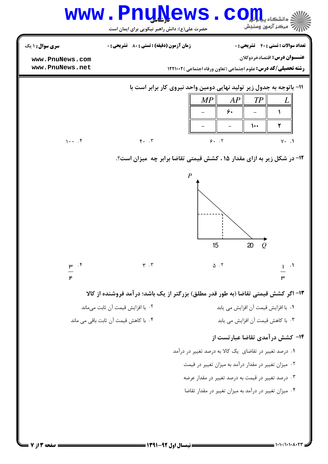|                                                                                    | www.PnuNews.co<br>حضرت علی(ع): دانش راهبر نیکویی برای ایمان است |                                                                                                                                                                     | د دانشگاه ب <mark>ه</mark><br>رآ مرکز آزمون وسنجش                                   |  |  |
|------------------------------------------------------------------------------------|-----------------------------------------------------------------|---------------------------------------------------------------------------------------------------------------------------------------------------------------------|-------------------------------------------------------------------------------------|--|--|
| <b>سری سوال :</b> ۱ یک<br>www.PnuNews.com<br>www.PnuNews.net                       | <b>زمان آزمون (دقیقه) : تستی : 80 ٪ تشریحی : 0</b>              | <b>رشته تحصیلی/کد درس:</b> علوم اجتماعی (تعاون ورفاه اجتماعی )12210 1                                                                                               | <b>تعداد سوالات : تستی : 40 - تشریحی : 0</b><br><b>عنـــوان درس:</b> اقتصادخردوكلان |  |  |
| $1 \cdot \cdot \cdot$ .                                                            | $F.$ $\cdot$                                                    | 11- باتوجه به جدول زیر تولید نهایی دومین واحد نیروی کار برابر است با<br>MP<br>AP<br>۶۰<br>9.7                                                                       | TP<br>L<br>١<br>٢<br>$\dots$<br>$Y \cdot \cdot \cdot$                               |  |  |
|                                                                                    |                                                                 | <b>۱۲- در شکل زیر به ازای مقدار ۱۵ ، کشش قیمتی تقاضا برابر چه  میزان است؟.</b><br>$\boldsymbol{P}$<br>15                                                            | 20<br>0                                                                             |  |  |
| $\mu$ . $\mathfrak{r}$<br>۴                                                        | $\mathbf{r}$ . $\mathbf{r}$                                     | $\Delta$ . T                                                                                                                                                        | ۳                                                                                   |  |  |
| ۱۳- اگر کشش قیمتی تقاضا (به طور قدر مطلق) بزرگتر از یک باشد؛ درآمد فروشنده از کالا |                                                                 |                                                                                                                                                                     |                                                                                     |  |  |
|                                                                                    | ٠٢ با افزايش قيمت آن ثابت مىماند                                |                                                                                                                                                                     | ٠١. با افزايش قيمت آن افزايش مي يابد                                                |  |  |
|                                                                                    | ۰۴ با کاهش قیمت آن ثابت باقی می ماند                            | ۰۱ درصد تغییر در تقاضای یک کالا به درصد تغییر در درآمد<br>۰۲ میزان تغییر در مقدار درآمد به میزان تغییر در قیمت<br>۰۳ درصد تغییر در قیمت به درصد تغییر در مقدار عرضه | ۰۳ با کاهش قیمت آن افزایش می یابد<br>۱۴- کشش درآمدی تقاضا عبارتست از                |  |  |
|                                                                                    |                                                                 | ۰۴ میزان تغییر در درآمد به میزان تغییر در مقدار تقاضا                                                                                                               |                                                                                     |  |  |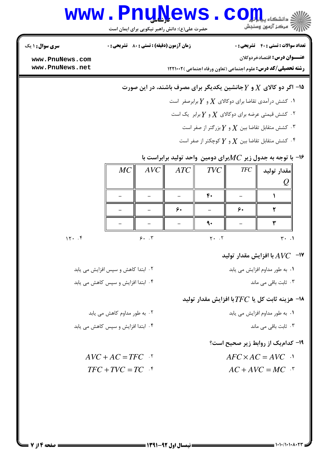## www.Pnu<u>N</u>ews.com

حضرت علي(ع): دانش راهبر نيكويي براي ايمان است

نعداد سوالات : تستي : 40 ٪ تشريحي : . زمان آزمون (دقيقه) : تستي : ٨٠ ٪ تشريحي : . سري سوال : ١ يك

**عنـــوان درس:** اقتصادخردوكلان

**رشته تحصیلی/کد درس: ع**لوم اجتماعی (تعاون ورفاه اجتماعی )12210 12

**[www.PnuNews.com](http://pnunews.com) [www.PnuNews.net](http://www.PnuNews.net)**

## ا– اگر دو کالای  $X$  و  $Y$ جانشین یکدیگر برای مصرف باشند، در این صورت $\,$

 $Y$  . کشش درآمدی تقاضا برای دوکالای  $X$  و  $Y$  برابرصفر  $\cdot$ 

۰۲ کشش قیمتی عرضه برای دوکالای  $X$  و  $Y$ برابر  $\,$ یک است  $\,$ 

ة . كشش متقابل تقاضا بين  $X$  و  $Y$  بزرگتر از صفر است  $\cdot$ 

ة . كشش متقابل تقاضا بين  $X$  و  $Y$ كوچكتر از صفر است  $^\circ$ 

## ا- با توجه به جدول زیر  $MC$ برای دومین واحد تولید برابراست با $\bullet$

|      | MC | AVC | ATC | $TVC$        | <b>TFC</b> | مقدار توليد      |
|------|----|-----|-----|--------------|------------|------------------|
|      |    |     |     |              |            |                  |
|      |    |     |     | $\mathbf{f}$ |            |                  |
|      |    |     | ۶۰  |              | ۶۰         |                  |
|      |    |     |     |              |            |                  |
| 15.7 |    | 9.7 |     |              |            | $\mathbf{r}$ . 1 |

ا–  $\,$  A $V$ C با افزایش مقدار تولید $\,$ 

(
 )- \*
.#. QR8 7 \*L .F(. (
 )-\*
.#. O7.- P ( & . .

۰۴ ثابت باقی می ماند است. می باند است و با این کشور است که به این کشور است که است که است که است که است که از ا

ا– هزینه ثابت کل یا  $TFC$ با افزایش مقدار تولید $\bullet$ 

ا . به طور مداوم افزایش می یابد است است که است که است که است که است که است که است که است که است که از این کل ا

۰۳ ثابت باقی می ماند است. می است که باشد است که باشد و برای می ماند است که است که است که است که است که از این <br>تاریخچه باشد است که باشد است که است که است که است که است که است که است که است که است که است که است که از این ا

۱۹- کدام یک از روابط زیر صحیح است؟

 $AFC \times AC = AVC$  .

 $AC + AVC = MC$ .

(
 )- \*L QR8 7 \*
.#. .F(. -

(
 )- \*L O7.- P ( (
 )-

(
 )- \*L QR8 7 \*
.#. .F(. -

 $AVC + AC = TFC$ <sup>*AT*</sup>  $TFC + TVC = TC$  *AC*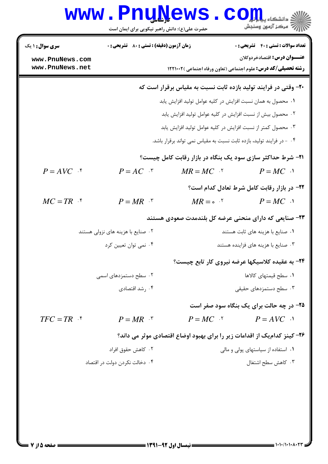## **www.PnuNews.com** ازارات مرکز آزمون وسنجش حضرت علی(ع): دانش راهبر نیکویی برای ایمان است **تعداد سوالات : تستی : 40 - تشریحی : 0 زمان آزمون (دقیقه) : تستی : 80 ٪ تشریحی : 0 سری سوال : ۱ یک** عنـــوان درس: اقتصادخردوكلان www.PnuNews.com www.PnuNews.net **رشته تحصیلی/کد درس:** علوم اجتماعی (تعاون ورفاه اجتماعی )12210 12 ۲۰- وقتی در فرایند تولید بازده ثابت نسبت به مقیاس برقرار است که ٠١. محصول به همان نسبت افزايش در كليه عوامل توليد افزايش يابد ۰۲ محصول بیش از نسبت افزایش در کلیه عوامل تولید افزایش یابد ۰۳ محصول کمتر از نسبت افزایش در کلیه عوامل تولید افزایش یابد ۰۴ - در فرایند تولید، بازده ثابت نسبت به مقیاس نمی تواند برقرار باشد. **۲۱- شرط حداکثر سازی سود یک بنگاه در بازار رقابت کامل چیست؟**  $P = AVC$  f  $P = AC$   $\cdot$  $MR = MC$  .  $P = MC \cdot Y$ **۲۲- در بازار رقابت کامل شرط تعادل کدام است؟**  $MC = TR$  f  $MR = \circ$   $\cdot$   $P = MC \cdot$  $P = MR$   $\cdot$ ۲۳- صنایعی که دارای منحنی عرضه کل بلندمدت صعودی هستند ۰۲ صنایع با هزینه های نزولی هستند ۰۱ صنایع با هزینه های ثابت هستند ۰۴ نمی توان تعیین کرد ۰۳ صنایع با هزینه های فزاینده هستند ۲۴- به عقیده کلاسیکها عرضه نیروی کار تابع چیست؟ ٠١ سطح قيمتهاى كالاها ۰۲ سطح دستمزدهای اسمی ۰۴ شد اقتصادی . ۰۳ سطح دستمزدهای حقیقی ۲۵- در چه حالت برای یک بنگاه سود صفر است  $TFC = TR$  f  $P = MC$   $\qquad \qquad P = AVC$   $\qquad \qquad$  $P = MR$   $\cdot$ ۲۶– کینز کدام یک از اقدامات زیر را برای بهبود اوضاع اقتصادی موثر می داند؟ ۰۲ کاهش حقوق افراد ۰۱ استفاده از سیاستهای پولی و مالی ۰۳ کاهش سطح اشتغال ۰۴ دخالت نکردن دولت در اقتصاد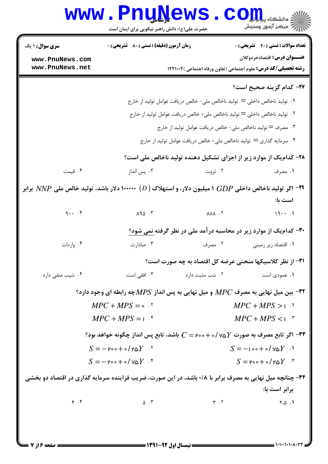|                                                                                                                          | <b>www.Pnu̯Ņews</b><br>حضرت علی(ع): دانش راهبر نیکویی برای ایمان است      |                                        | الاد دانشڪاه پي <b>ا ۾ لور</b><br>الا سرڪز آزمون وسنڊش                                                       |  |
|--------------------------------------------------------------------------------------------------------------------------|---------------------------------------------------------------------------|----------------------------------------|--------------------------------------------------------------------------------------------------------------|--|
| <b>سری سوال : ۱ یک</b>                                                                                                   | <b>زمان آزمون (دقیقه) : تستی : 80 ٪ تشریحی : 0</b>                        |                                        | <b>تعداد سوالات : تستی : 40 - تشریحی : 0</b>                                                                 |  |
| www.PnuNews.com<br>www.PnuNews.net                                                                                       |                                                                           |                                        | <b>عنـــوان درس:</b> اقتصادخردوكلان<br><b>رشته تحصیلی/کد درس:</b> علوم اجتماعی (تعاون ورفاه اجتماعی )12210 1 |  |
|                                                                                                                          |                                                                           |                                        | ٢٧- كدام گزينه صحيح است؟                                                                                     |  |
|                                                                                                                          |                                                                           |                                        | ۰۱   تولید ناخالص داخلی $\mathbf{u} = \mathbf{u}$ تولید ناخالص ملی– خالص دریافت عوامل تولید از خارج          |  |
|                                                                                                                          | ۰۲ تولید ناخالص داخلی = تولید ناخالص ملی+ خالص دریافت عوامل تولید از خارج |                                        |                                                                                                              |  |
|                                                                                                                          |                                                                           |                                        | ۰۳ مصرف = تولید ناخالص ملی- خالص دریافت عوامل تولید از خارج                                                  |  |
|                                                                                                                          |                                                                           |                                        | ۰۴ سرمایه گذاری = تولید ناخالص ملی+ خالص دریافت عوامل تولید از خارج                                          |  |
|                                                                                                                          |                                                                           |                                        | ۲۸- کدام یک از موارد زیر از اجزای تشکیل دهنده تولید ناخالص ملی است؟                                          |  |
| ۰۴ قیمت                                                                                                                  | ۰۳ پس انداز                                                               | ۰۲ ثروت                                | ۰۱ مصرف                                                                                                      |  |
| اگر تولید ناخالص داخلی $GDP$ ۱ میلیون دلار، و استهلاک ( $(D)$ ۱۰۰۰۰۰ دلار باشد، تولید خالص ملی $N\!N\!P$ برابر $^{-1}$ ۹ |                                                                           |                                        | است با:                                                                                                      |  |
| $9 \cdot \cdot \cdot$                                                                                                    | $\lambda$ 90. $\mu$                                                       | $\lambda \lambda \lambda$ . $\lambda$  | 191                                                                                                          |  |
|                                                                                                                          |                                                                           |                                        | ۳۰- کدام یک از موارد زیر در محاسبه در آمد ملی در نظر گرفته نمی شود؟                                          |  |
| ۰۴ واردات                                                                                                                | ۰۳ صادارت                                                                 | ۰۲ مصرف                                | ۰۱ اقتصاد زیر زمینی                                                                                          |  |
|                                                                                                                          |                                                                           |                                        | ٣١- از نظر كلاسيكها منحنى عرضه كل اقتصاد به چه صورت است؟                                                     |  |
| ۰۴ شیب منفی دارد                                                                                                         | ۰۳ افقی است                                                               | ۰۲ شب مثبت دارد                        | ۰۱ عمودی است                                                                                                 |  |
|                                                                                                                          |                                                                           |                                        | ۳۲- بین میل نهایی به مصرف $MPC$ و میل نهایی به پس انداز $MPS$ چه رابطه ای وجود دارد؟                         |  |
|                                                                                                                          | $MPC + MPS = \circ$ .                                                     | $MPC + MPS > 1$                        |                                                                                                              |  |
|                                                                                                                          | $MPC + MPS = 1$                                                           |                                        | $MPC+MPS1$ .                                                                                                 |  |
|                                                                                                                          |                                                                           |                                        | ۳۳- اگر تابع مصرف به صورت y۵ $\delta Y$ ۰/ - ۲۰۰– باشد، تابع پس انداز چگونه خواهد بود $\cdot$                |  |
|                                                                                                                          | $S = -\gamma \circ - + \circ / \gamma \circ Y$ .                          |                                        | $S = -100 + 0/\text{VQ}Y$ .                                                                                  |  |
|                                                                                                                          | $S = -\gamma \circ - + \circ / \gamma \circ Y$ .                          |                                        | $S = \text{Proof} \circ f \circ Y$ .                                                                         |  |
|                                                                                                                          |                                                                           |                                        | ۳۴- چنانچه میل نهایی به مصرف برابر با ۰/۸ باشد، در این صورت، ضریب فزاینده سرمایه گذاری در اقتصاد دو بخشی     |  |
| $\mathfrak{r}$ . $\mathfrak{r}$                                                                                          | $\Delta$ $\cdot$ $\mathsf{r}$                                             | $\mathbf{r}$ . $\mathbf{r}$            | برابر است با:<br>$\uparrow$ . $\uparrow$ .1                                                                  |  |
|                                                                                                                          |                                                                           |                                        |                                                                                                              |  |
|                                                                                                                          |                                                                           |                                        |                                                                                                              |  |
| = صفحه ۱۶ز 7                                                                                                             |                                                                           | ــــــــــــ نیمسال اول ۹۲-۱۳۹۱ ــــــ |                                                                                                              |  |